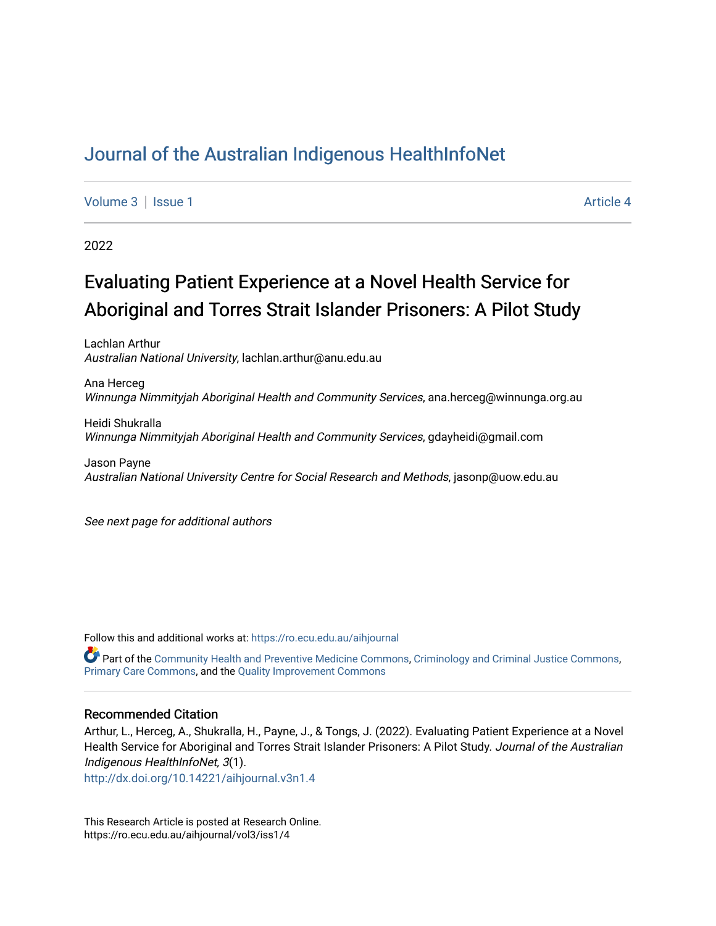# [Journal of the Australian Indigenous HealthInfoNet](https://ro.ecu.edu.au/aihjournal)

[Volume 3](https://ro.ecu.edu.au/aihjournal/vol3) | [Issue 1](https://ro.ecu.edu.au/aihjournal/vol3/iss1) Article 4

2022

# Evaluating Patient Experience at a Novel Health Service for Aboriginal and Torres Strait Islander Prisoners: A Pilot Study

Lachlan Arthur Australian National University, lachlan.arthur@anu.edu.au

Ana Herceg Winnunga Nimmityjah Aboriginal Health and Community Services, ana.herceg@winnunga.org.au

Heidi Shukralla Winnunga Nimmityjah Aboriginal Health and Community Services, gdayheidi@gmail.com

Jason Payne Australian National University Centre for Social Research and Methods, jasonp@uow.edu.au

See next page for additional authors

Follow this and additional works at: [https://ro.ecu.edu.au/aihjournal](https://ro.ecu.edu.au/aihjournal?utm_source=ro.ecu.edu.au%2Faihjournal%2Fvol3%2Fiss1%2F4&utm_medium=PDF&utm_campaign=PDFCoverPages) 

Part of the [Community Health and Preventive Medicine Commons,](https://network.bepress.com/hgg/discipline/744?utm_source=ro.ecu.edu.au%2Faihjournal%2Fvol3%2Fiss1%2F4&utm_medium=PDF&utm_campaign=PDFCoverPages) [Criminology and Criminal Justice Commons,](https://network.bepress.com/hgg/discipline/367?utm_source=ro.ecu.edu.au%2Faihjournal%2Fvol3%2Fiss1%2F4&utm_medium=PDF&utm_campaign=PDFCoverPages) [Primary Care Commons,](https://network.bepress.com/hgg/discipline/1092?utm_source=ro.ecu.edu.au%2Faihjournal%2Fvol3%2Fiss1%2F4&utm_medium=PDF&utm_campaign=PDFCoverPages) and the [Quality Improvement Commons](https://network.bepress.com/hgg/discipline/1430?utm_source=ro.ecu.edu.au%2Faihjournal%2Fvol3%2Fiss1%2F4&utm_medium=PDF&utm_campaign=PDFCoverPages)

#### Recommended Citation

Arthur, L., Herceg, A., Shukralla, H., Payne, J., & Tongs, J. (2022). Evaluating Patient Experience at a Novel Health Service for Aboriginal and Torres Strait Islander Prisoners: A Pilot Study. Journal of the Australian Indigenous HealthInfoNet, 3(1).

<http://dx.doi.org/10.14221/aihjournal.v3n1.4>

This Research Article is posted at Research Online. https://ro.ecu.edu.au/aihjournal/vol3/iss1/4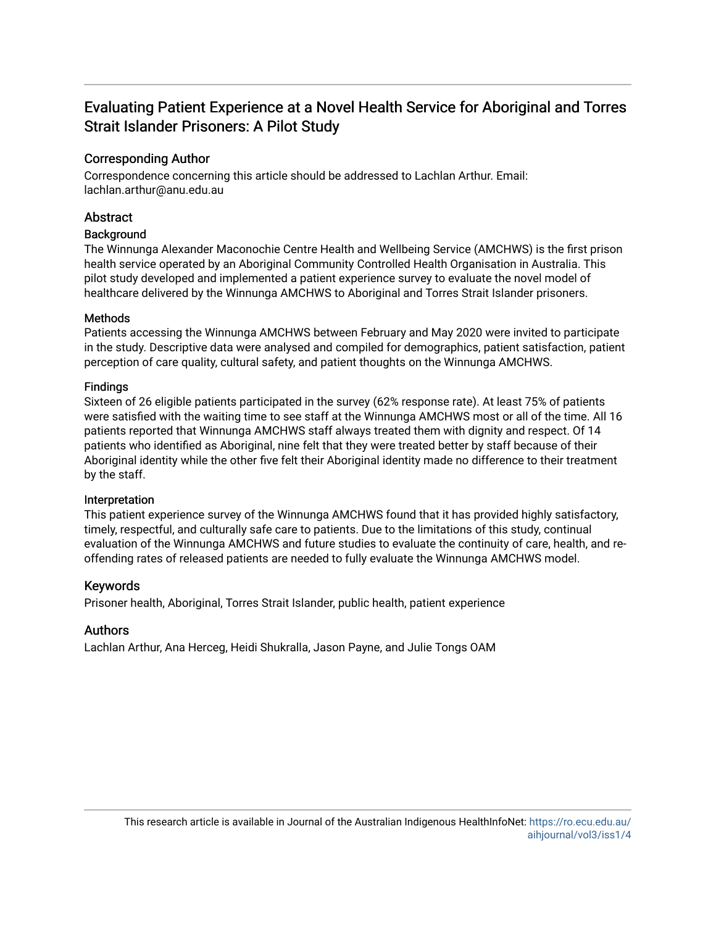# Evaluating Patient Experience at a Novel Health Service for Aboriginal and Torres Strait Islander Prisoners: A Pilot Study

# Corresponding Author

Correspondence concerning this article should be addressed to Lachlan Arthur. Email: lachlan.arthur@anu.edu.au

# **Abstract**

# **Background**

The Winnunga Alexander Maconochie Centre Health and Wellbeing Service (AMCHWS) is the first prison health service operated by an Aboriginal Community Controlled Health Organisation in Australia. This pilot study developed and implemented a patient experience survey to evaluate the novel model of healthcare delivered by the Winnunga AMCHWS to Aboriginal and Torres Strait Islander prisoners.

# Methods

Patients accessing the Winnunga AMCHWS between February and May 2020 were invited to participate in the study. Descriptive data were analysed and compiled for demographics, patient satisfaction, patient perception of care quality, cultural safety, and patient thoughts on the Winnunga AMCHWS.

# Findings

Sixteen of 26 eligible patients participated in the survey (62% response rate). At least 75% of patients were satisfied with the waiting time to see staff at the Winnunga AMCHWS most or all of the time. All 16 patients reported that Winnunga AMCHWS staff always treated them with dignity and respect. Of 14 patients who identified as Aboriginal, nine felt that they were treated better by staff because of their Aboriginal identity while the other five felt their Aboriginal identity made no difference to their treatment by the staff.

# Interpretation

This patient experience survey of the Winnunga AMCHWS found that it has provided highly satisfactory, timely, respectful, and culturally safe care to patients. Due to the limitations of this study, continual evaluation of the Winnunga AMCHWS and future studies to evaluate the continuity of care, health, and reoffending rates of released patients are needed to fully evaluate the Winnunga AMCHWS model.

# Keywords

Prisoner health, Aboriginal, Torres Strait Islander, public health, patient experience

# Authors

Lachlan Arthur, Ana Herceg, Heidi Shukralla, Jason Payne, and Julie Tongs OAM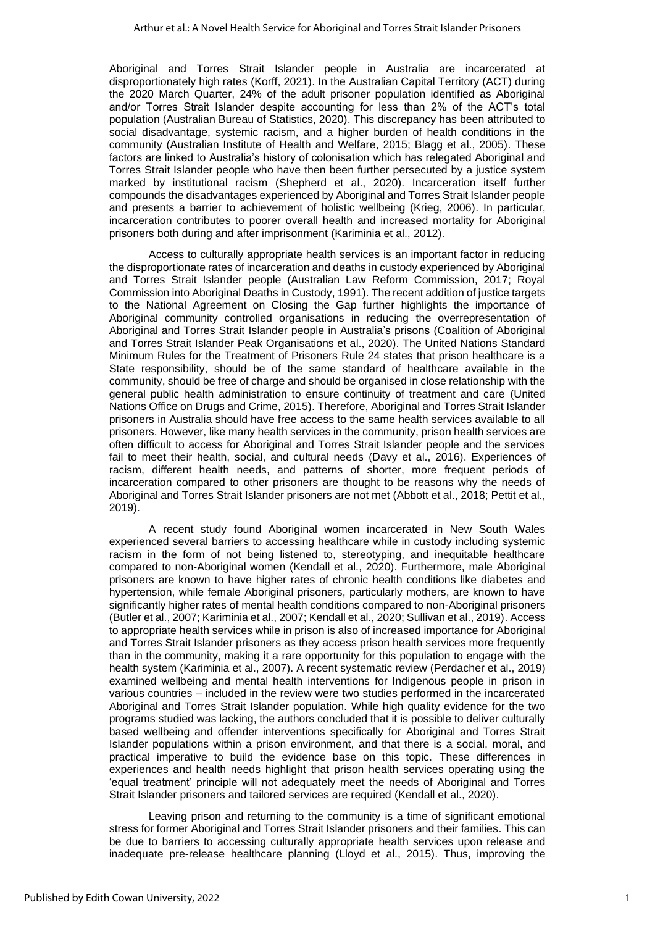Aboriginal and Torres Strait Islander people in Australia are incarcerated at disproportionately high rates (Korff, 2021). In the Australian Capital Territory (ACT) during the 2020 March Quarter, 24% of the adult prisoner population identified as Aboriginal and/or Torres Strait Islander despite accounting for less than 2% of the ACT's total population (Australian Bureau of Statistics, 2020). This discrepancy has been attributed to social disadvantage, systemic racism, and a higher burden of health conditions in the community (Australian Institute of Health and Welfare, 2015; Blagg et al., 2005). These factors are linked to Australia's history of colonisation which has relegated Aboriginal and Torres Strait Islander people who have then been further persecuted by a justice system marked by institutional racism (Shepherd et al., 2020). Incarceration itself further compounds the disadvantages experienced by Aboriginal and Torres Strait Islander people and presents a barrier to achievement of holistic wellbeing (Krieg, 2006). In particular, incarceration contributes to poorer overall health and increased mortality for Aboriginal prisoners both during and after imprisonment (Kariminia et al., 2012).

Access to culturally appropriate health services is an important factor in reducing the disproportionate rates of incarceration and deaths in custody experienced by Aboriginal and Torres Strait Islander people (Australian Law Reform Commission, 2017; Royal Commission into Aboriginal Deaths in Custody, 1991). The recent addition of justice targets to the National Agreement on Closing the Gap further highlights the importance of Aboriginal community controlled organisations in reducing the overrepresentation of Aboriginal and Torres Strait Islander people in Australia's prisons (Coalition of Aboriginal and Torres Strait Islander Peak Organisations et al., 2020). The United Nations Standard Minimum Rules for the Treatment of Prisoners Rule 24 states that prison healthcare is a State responsibility, should be of the same standard of healthcare available in the community, should be free of charge and should be organised in close relationship with the general public health administration to ensure continuity of treatment and care (United Nations Office on Drugs and Crime, 2015). Therefore, Aboriginal and Torres Strait Islander prisoners in Australia should have free access to the same health services available to all prisoners. However, like many health services in the community, prison health services are often difficult to access for Aboriginal and Torres Strait Islander people and the services fail to meet their health, social, and cultural needs (Davy et al., 2016). Experiences of racism, different health needs, and patterns of shorter, more frequent periods of incarceration compared to other prisoners are thought to be reasons why the needs of Aboriginal and Torres Strait Islander prisoners are not met (Abbott et al., 2018; Pettit et al., 2019).

A recent study found Aboriginal women incarcerated in New South Wales experienced several barriers to accessing healthcare while in custody including systemic racism in the form of not being listened to, stereotyping, and inequitable healthcare compared to non-Aboriginal women (Kendall et al., 2020). Furthermore, male Aboriginal prisoners are known to have higher rates of chronic health conditions like diabetes and hypertension, while female Aboriginal prisoners, particularly mothers, are known to have significantly higher rates of mental health conditions compared to non-Aboriginal prisoners (Butler et al., 2007; Kariminia et al., 2007; Kendall et al., 2020; Sullivan et al., 2019). Access to appropriate health services while in prison is also of increased importance for Aboriginal and Torres Strait Islander prisoners as they access prison health services more frequently than in the community, making it a rare opportunity for this population to engage with the health system (Kariminia et al., 2007). A recent systematic review (Perdacher et al., 2019) examined wellbeing and mental health interventions for Indigenous people in prison in various countries – included in the review were two studies performed in the incarcerated Aboriginal and Torres Strait Islander population. While high quality evidence for the two programs studied was lacking, the authors concluded that it is possible to deliver culturally based wellbeing and offender interventions specifically for Aboriginal and Torres Strait Islander populations within a prison environment, and that there is a social, moral, and practical imperative to build the evidence base on this topic. These differences in experiences and health needs highlight that prison health services operating using the 'equal treatment' principle will not adequately meet the needs of Aboriginal and Torres Strait Islander prisoners and tailored services are required (Kendall et al., 2020).

Leaving prison and returning to the community is a time of significant emotional stress for former Aboriginal and Torres Strait Islander prisoners and their families. This can be due to barriers to accessing culturally appropriate health services upon release and inadequate pre-release healthcare planning (Lloyd et al., 2015). Thus, improving the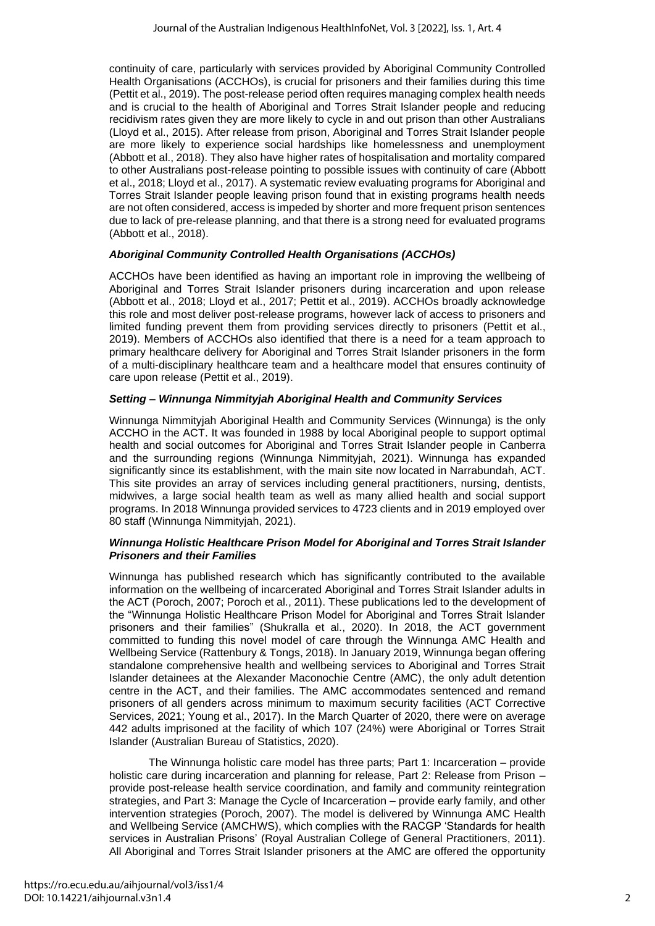continuity of care, particularly with services provided by Aboriginal Community Controlled Health Organisations (ACCHOs), is crucial for prisoners and their families during this time (Pettit et al., 2019). The post-release period often requires managing complex health needs and is crucial to the health of Aboriginal and Torres Strait Islander people and reducing recidivism rates given they are more likely to cycle in and out prison than other Australians (Lloyd et al., 2015). After release from prison, Aboriginal and Torres Strait Islander people are more likely to experience social hardships like homelessness and unemployment (Abbott et al., 2018). They also have higher rates of hospitalisation and mortality compared to other Australians post-release pointing to possible issues with continuity of care (Abbott et al., 2018; Lloyd et al., 2017). A systematic review evaluating programs for Aboriginal and Torres Strait Islander people leaving prison found that in existing programs health needs are not often considered, access is impeded by shorter and more frequent prison sentences due to lack of pre-release planning, and that there is a strong need for evaluated programs (Abbott et al., 2018).

# *Aboriginal Community Controlled Health Organisations (ACCHOs)*

ACCHOs have been identified as having an important role in improving the wellbeing of Aboriginal and Torres Strait Islander prisoners during incarceration and upon release (Abbott et al., 2018; Lloyd et al., 2017; Pettit et al., 2019). ACCHOs broadly acknowledge this role and most deliver post-release programs, however lack of access to prisoners and limited funding prevent them from providing services directly to prisoners (Pettit et al., 2019). Members of ACCHOs also identified that there is a need for a team approach to primary healthcare delivery for Aboriginal and Torres Strait Islander prisoners in the form of a multi-disciplinary healthcare team and a healthcare model that ensures continuity of care upon release (Pettit et al., 2019).

# *Setting – Winnunga Nimmityjah Aboriginal Health and Community Services*

Winnunga Nimmityjah Aboriginal Health and Community Services (Winnunga) is the only ACCHO in the ACT. It was founded in 1988 by local Aboriginal people to support optimal health and social outcomes for Aboriginal and Torres Strait Islander people in Canberra and the surrounding regions (Winnunga Nimmityjah, 2021). Winnunga has expanded significantly since its establishment, with the main site now located in Narrabundah, ACT. This site provides an array of services including general practitioners, nursing, dentists, midwives, a large social health team as well as many allied health and social support programs. In 2018 Winnunga provided services to 4723 clients and in 2019 employed over 80 staff (Winnunga Nimmityjah, 2021).

#### *Winnunga Holistic Healthcare Prison Model for Aboriginal and Torres Strait Islander Prisoners and their Families*

Winnunga has published research which has significantly contributed to the available information on the wellbeing of incarcerated Aboriginal and Torres Strait Islander adults in the ACT (Poroch, 2007; Poroch et al., 2011). These publications led to the development of the "Winnunga Holistic Healthcare Prison Model for Aboriginal and Torres Strait Islander prisoners and their families" (Shukralla et al., 2020). In 2018, the ACT government committed to funding this novel model of care through the Winnunga AMC Health and Wellbeing Service (Rattenbury & Tongs, 2018). In January 2019, Winnunga began offering standalone comprehensive health and wellbeing services to Aboriginal and Torres Strait Islander detainees at the Alexander Maconochie Centre (AMC), the only adult detention centre in the ACT, and their families. The AMC accommodates sentenced and remand prisoners of all genders across minimum to maximum security facilities (ACT Corrective Services, 2021; Young et al., 2017). In the March Quarter of 2020, there were on average 442 adults imprisoned at the facility of which 107 (24%) were Aboriginal or Torres Strait Islander (Australian Bureau of Statistics, 2020).

The Winnunga holistic care model has three parts; Part 1: Incarceration – provide holistic care during incarceration and planning for release, Part 2: Release from Prison provide post-release health service coordination, and family and community reintegration strategies, and Part 3: Manage the Cycle of Incarceration – provide early family, and other intervention strategies (Poroch, 2007). The model is delivered by Winnunga AMC Health and Wellbeing Service (AMCHWS), which complies with the RACGP 'Standards for health services in Australian Prisons' (Royal Australian College of General Practitioners, 2011). All Aboriginal and Torres Strait Islander prisoners at the AMC are offered the opportunity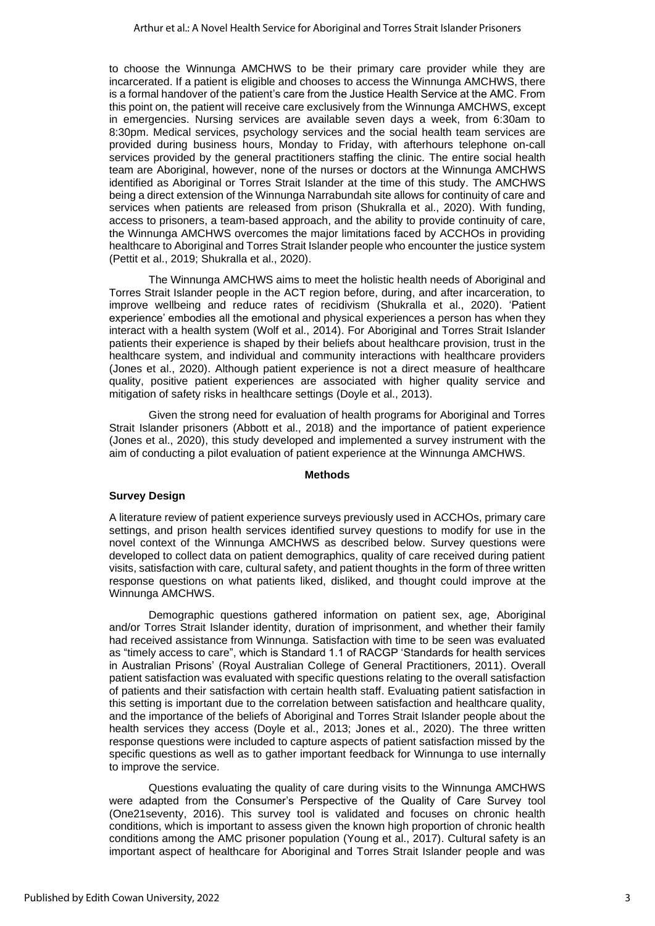to choose the Winnunga AMCHWS to be their primary care provider while they are incarcerated. If a patient is eligible and chooses to access the Winnunga AMCHWS, there is a formal handover of the patient's care from the Justice Health Service at the AMC. From this point on, the patient will receive care exclusively from the Winnunga AMCHWS, except in emergencies. Nursing services are available seven days a week, from 6:30am to 8:30pm. Medical services, psychology services and the social health team services are provided during business hours, Monday to Friday, with afterhours telephone on-call services provided by the general practitioners staffing the clinic. The entire social health team are Aboriginal, however, none of the nurses or doctors at the Winnunga AMCHWS identified as Aboriginal or Torres Strait Islander at the time of this study. The AMCHWS being a direct extension of the Winnunga Narrabundah site allows for continuity of care and services when patients are released from prison (Shukralla et al., 2020). With funding, access to prisoners, a team-based approach, and the ability to provide continuity of care, the Winnunga AMCHWS overcomes the major limitations faced by ACCHOs in providing healthcare to Aboriginal and Torres Strait Islander people who encounter the justice system (Pettit et al., 2019; Shukralla et al., 2020).

The Winnunga AMCHWS aims to meet the holistic health needs of Aboriginal and Torres Strait Islander people in the ACT region before, during, and after incarceration, to improve wellbeing and reduce rates of recidivism (Shukralla et al., 2020). 'Patient experience' embodies all the emotional and physical experiences a person has when they interact with a health system (Wolf et al., 2014). For Aboriginal and Torres Strait Islander patients their experience is shaped by their beliefs about healthcare provision, trust in the healthcare system, and individual and community interactions with healthcare providers (Jones et al., 2020). Although patient experience is not a direct measure of healthcare quality, positive patient experiences are associated with higher quality service and mitigation of safety risks in healthcare settings (Doyle et al., 2013).

Given the strong need for evaluation of health programs for Aboriginal and Torres Strait Islander prisoners (Abbott et al., 2018) and the importance of patient experience (Jones et al., 2020), this study developed and implemented a survey instrument with the aim of conducting a pilot evaluation of patient experience at the Winnunga AMCHWS.

#### **Methods**

#### **Survey Design**

A literature review of patient experience surveys previously used in ACCHOs, primary care settings, and prison health services identified survey questions to modify for use in the novel context of the Winnunga AMCHWS as described below. Survey questions were developed to collect data on patient demographics, quality of care received during patient visits, satisfaction with care, cultural safety, and patient thoughts in the form of three written response questions on what patients liked, disliked, and thought could improve at the Winnunga AMCHWS.

Demographic questions gathered information on patient sex, age, Aboriginal and/or Torres Strait Islander identity, duration of imprisonment, and whether their family had received assistance from Winnunga. Satisfaction with time to be seen was evaluated as "timely access to care", which is Standard 1.1 of RACGP 'Standards for health services in Australian Prisons' (Royal Australian College of General Practitioners, 2011). Overall patient satisfaction was evaluated with specific questions relating to the overall satisfaction of patients and their satisfaction with certain health staff. Evaluating patient satisfaction in this setting is important due to the correlation between satisfaction and healthcare quality, and the importance of the beliefs of Aboriginal and Torres Strait Islander people about the health services they access (Doyle et al., 2013; Jones et al., 2020). The three written response questions were included to capture aspects of patient satisfaction missed by the specific questions as well as to gather important feedback for Winnunga to use internally to improve the service.

Questions evaluating the quality of care during visits to the Winnunga AMCHWS were adapted from the Consumer's Perspective of the Quality of Care Survey tool (One21seventy, 2016). This survey tool is validated and focuses on chronic health conditions, which is important to assess given the known high proportion of chronic health conditions among the AMC prisoner population (Young et al., 2017). Cultural safety is an important aspect of healthcare for Aboriginal and Torres Strait Islander people and was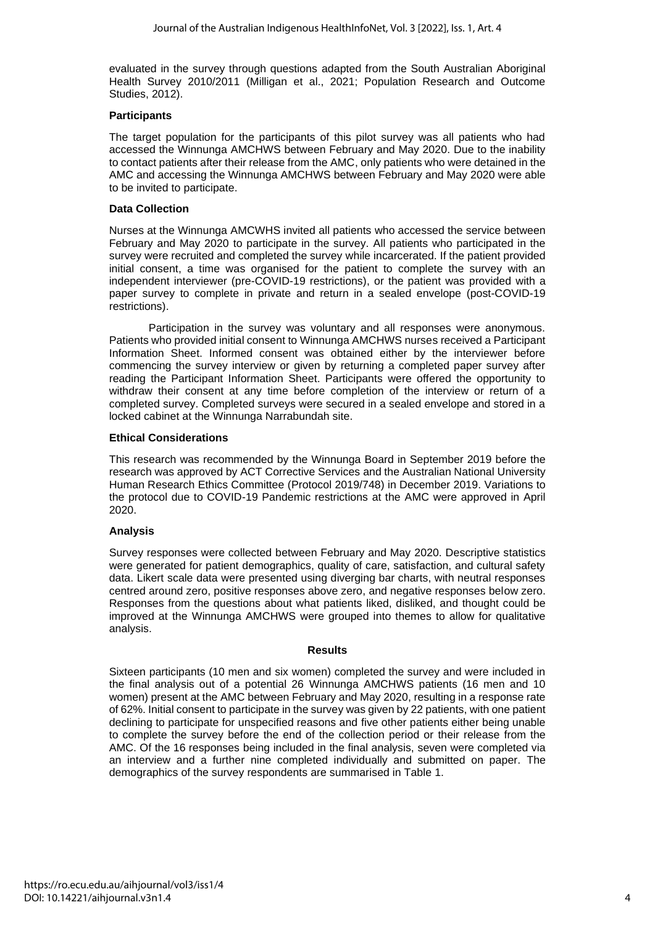evaluated in the survey through questions adapted from the South Australian Aboriginal Health Survey 2010/2011 (Milligan et al., 2021; Population Research and Outcome Studies, 2012).

#### **Participants**

The target population for the participants of this pilot survey was all patients who had accessed the Winnunga AMCHWS between February and May 2020. Due to the inability to contact patients after their release from the AMC, only patients who were detained in the AMC and accessing the Winnunga AMCHWS between February and May 2020 were able to be invited to participate.

#### **Data Collection**

Nurses at the Winnunga AMCWHS invited all patients who accessed the service between February and May 2020 to participate in the survey. All patients who participated in the survey were recruited and completed the survey while incarcerated. If the patient provided initial consent, a time was organised for the patient to complete the survey with an independent interviewer (pre-COVID-19 restrictions), or the patient was provided with a paper survey to complete in private and return in a sealed envelope (post-COVID-19 restrictions).

Participation in the survey was voluntary and all responses were anonymous. Patients who provided initial consent to Winnunga AMCHWS nurses received a Participant Information Sheet. Informed consent was obtained either by the interviewer before commencing the survey interview or given by returning a completed paper survey after reading the Participant Information Sheet. Participants were offered the opportunity to withdraw their consent at any time before completion of the interview or return of a completed survey. Completed surveys were secured in a sealed envelope and stored in a locked cabinet at the Winnunga Narrabundah site.

#### **Ethical Considerations**

This research was recommended by the Winnunga Board in September 2019 before the research was approved by ACT Corrective Services and the Australian National University Human Research Ethics Committee (Protocol 2019/748) in December 2019. Variations to the protocol due to COVID-19 Pandemic restrictions at the AMC were approved in April 2020.

# **Analysis**

Survey responses were collected between February and May 2020. Descriptive statistics were generated for patient demographics, quality of care, satisfaction, and cultural safety data. Likert scale data were presented using diverging bar charts, with neutral responses centred around zero, positive responses above zero, and negative responses below zero. Responses from the questions about what patients liked, disliked, and thought could be improved at the Winnunga AMCHWS were grouped into themes to allow for qualitative analysis.

#### **Results**

Sixteen participants (10 men and six women) completed the survey and were included in the final analysis out of a potential 26 Winnunga AMCHWS patients (16 men and 10 women) present at the AMC between February and May 2020, resulting in a response rate of 62%. Initial consent to participate in the survey was given by 22 patients, with one patient declining to participate for unspecified reasons and five other patients either being unable to complete the survey before the end of the collection period or their release from the AMC. Of the 16 responses being included in the final analysis, seven were completed via an interview and a further nine completed individually and submitted on paper. The demographics of the survey respondents are summarised in Table 1.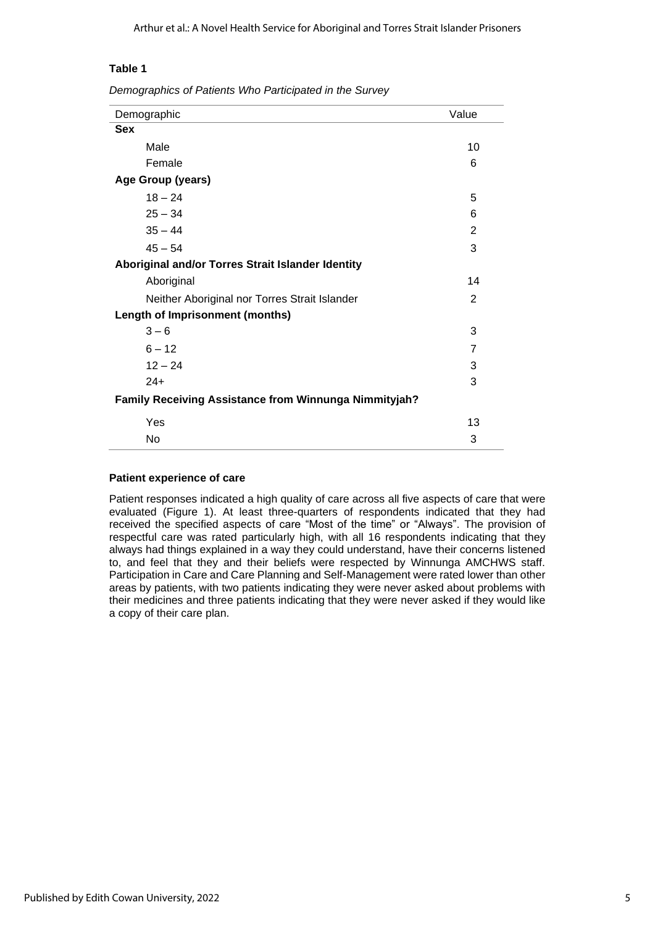#### **Table 1**

*Demographics of Patients Who Participated in the Survey*

| Demographic                                                  | Value |
|--------------------------------------------------------------|-------|
| <b>Sex</b>                                                   |       |
| Male                                                         | 10    |
| Female                                                       | 6     |
| Age Group (years)                                            |       |
| $18 - 24$                                                    | 5     |
| $25 - 34$                                                    | 6     |
| $35 - 44$                                                    | 2     |
| $45 - 54$                                                    | 3     |
| Aboriginal and/or Torres Strait Islander Identity            |       |
| Aboriginal                                                   | 14    |
| Neither Aboriginal nor Torres Strait Islander                | 2     |
| <b>Length of Imprisonment (months)</b>                       |       |
| $3 - 6$                                                      | 3     |
| $6 - 12$                                                     | 7     |
| $12 - 24$                                                    | 3     |
| $24+$                                                        | 3     |
| <b>Family Receiving Assistance from Winnunga Nimmityjah?</b> |       |
| Yes                                                          | 13    |
| No                                                           | 3     |

#### **Patient experience of care**

Patient responses indicated a high quality of care across all five aspects of care that were evaluated (Figure 1). At least three-quarters of respondents indicated that they had received the specified aspects of care "Most of the time" or "Always". The provision of respectful care was rated particularly high, with all 16 respondents indicating that they always had things explained in a way they could understand, have their concerns listened to, and feel that they and their beliefs were respected by Winnunga AMCHWS staff. Participation in Care and Care Planning and Self-Management were rated lower than other areas by patients, with two patients indicating they were never asked about problems with their medicines and three patients indicating that they were never asked if they would like a copy of their care plan.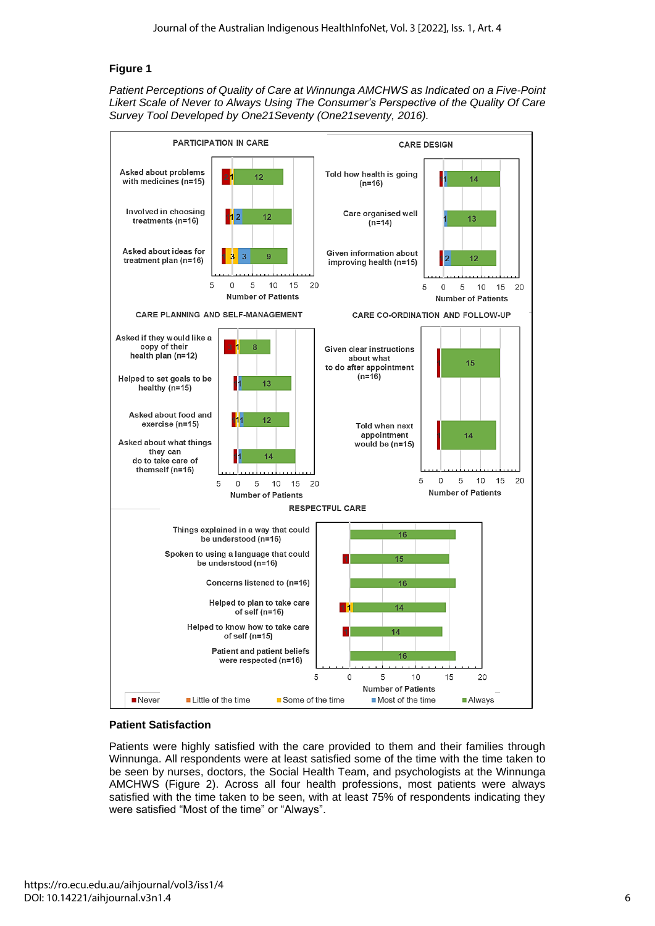# **Figure 1**

*Patient Perceptions of Quality of Care at Winnunga AMCHWS as Indicated on a Five-Point Likert Scale of Never to Always Using The Consumer's Perspective of the Quality Of Care Survey Tool Developed by One21Seventy (One21seventy, 2016).*



# **Patient Satisfaction**

Patients were highly satisfied with the care provided to them and their families through Winnunga. All respondents were at least satisfied some of the time with the time taken to be seen by nurses, doctors, the Social Health Team, and psychologists at the Winnunga AMCHWS (Figure 2). Across all four health professions, most patients were always satisfied with the time taken to be seen, with at least 75% of respondents indicating they were satisfied "Most of the time" or "Always".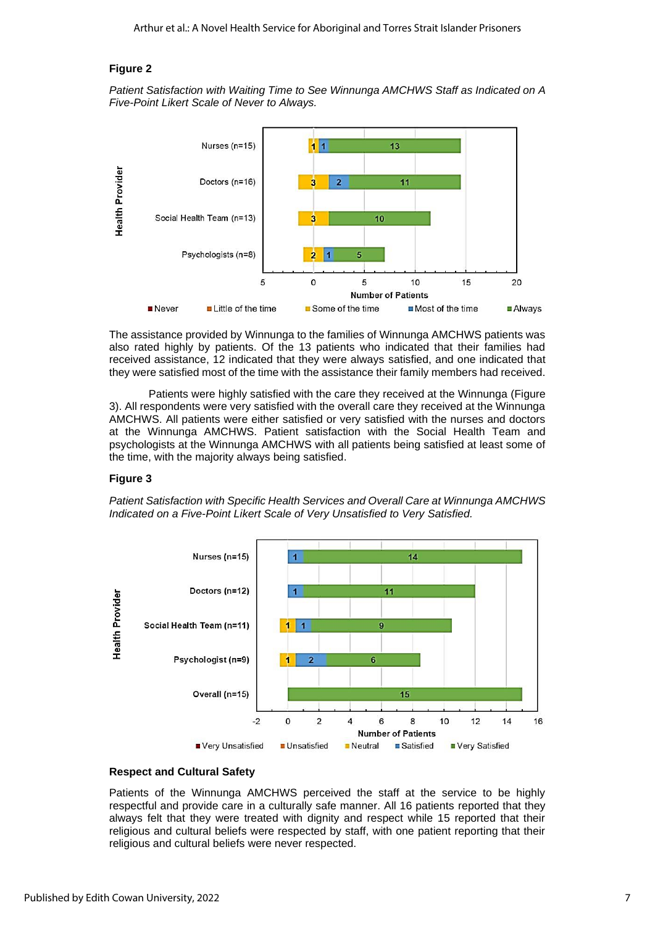#### **Figure 2**

*Patient Satisfaction with Waiting Time to See Winnunga AMCHWS Staff as Indicated on A Five-Point Likert Scale of Never to Always.*



The assistance provided by Winnunga to the families of Winnunga AMCHWS patients was also rated highly by patients. Of the 13 patients who indicated that their families had received assistance, 12 indicated that they were always satisfied, and one indicated that they were satisfied most of the time with the assistance their family members had received.

Patients were highly satisfied with the care they received at the Winnunga (Figure 3). All respondents were very satisfied with the overall care they received at the Winnunga AMCHWS. All patients were either satisfied or very satisfied with the nurses and doctors at the Winnunga AMCHWS. Patient satisfaction with the Social Health Team and psychologists at the Winnunga AMCHWS with all patients being satisfied at least some of the time, with the majority always being satisfied.

#### **Figure 3**

*Patient Satisfaction with Specific Health Services and Overall Care at Winnunga AMCHWS Indicated on a Five-Point Likert Scale of Very Unsatisfied to Very Satisfied.*



# **Respect and Cultural Safety**

Patients of the Winnunga AMCHWS perceived the staff at the service to be highly respectful and provide care in a culturally safe manner. All 16 patients reported that they always felt that they were treated with dignity and respect while 15 reported that their religious and cultural beliefs were respected by staff, with one patient reporting that their religious and cultural beliefs were never respected.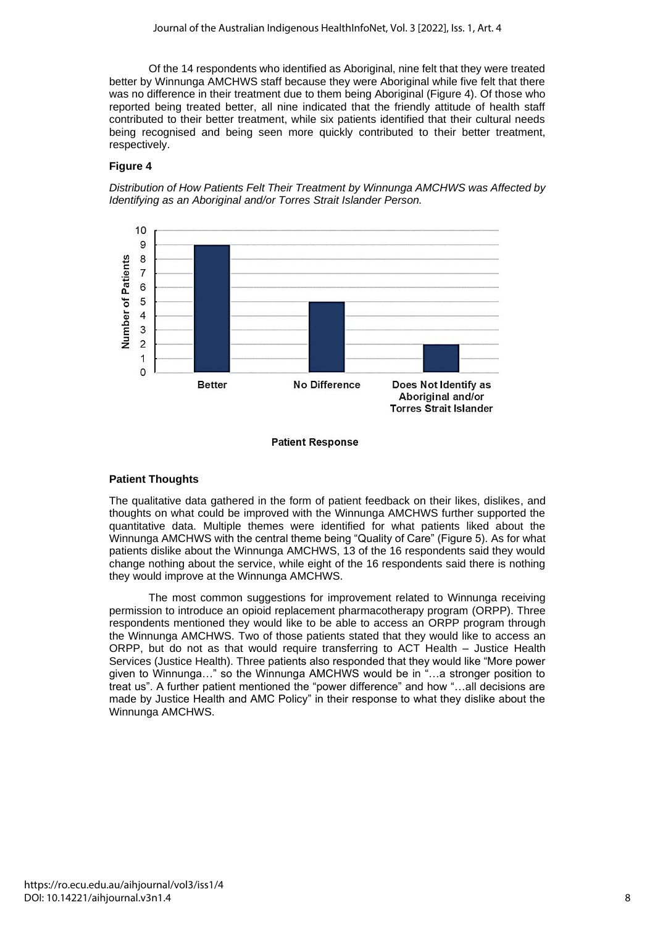Of the 14 respondents who identified as Aboriginal, nine felt that they were treated better by Winnunga AMCHWS staff because they were Aboriginal while five felt that there was no difference in their treatment due to them being Aboriginal (Figure 4). Of those who reported being treated better, all nine indicated that the friendly attitude of health staff contributed to their better treatment, while six patients identified that their cultural needs being recognised and being seen more quickly contributed to their better treatment, respectively.

#### **Figure 4**

*Distribution of How Patients Felt Their Treatment by Winnunga AMCHWS was Affected by Identifying as an Aboriginal and/or Torres Strait Islander Person.*



#### **Patient Response**

#### **Patient Thoughts**

The qualitative data gathered in the form of patient feedback on their likes, dislikes, and thoughts on what could be improved with the Winnunga AMCHWS further supported the quantitative data. Multiple themes were identified for what patients liked about the Winnunga AMCHWS with the central theme being "Quality of Care" (Figure 5). As for what patients dislike about the Winnunga AMCHWS, 13 of the 16 respondents said they would change nothing about the service, while eight of the 16 respondents said there is nothing they would improve at the Winnunga AMCHWS.

The most common suggestions for improvement related to Winnunga receiving permission to introduce an opioid replacement pharmacotherapy program (ORPP). Three respondents mentioned they would like to be able to access an ORPP program through the Winnunga AMCHWS. Two of those patients stated that they would like to access an ORPP, but do not as that would require transferring to ACT Health – Justice Health Services (Justice Health). Three patients also responded that they would like "More power given to Winnunga…" so the Winnunga AMCHWS would be in "…a stronger position to treat us". A further patient mentioned the "power difference" and how "…all decisions are made by Justice Health and AMC Policy" in their response to what they dislike about the Winnunga AMCHWS.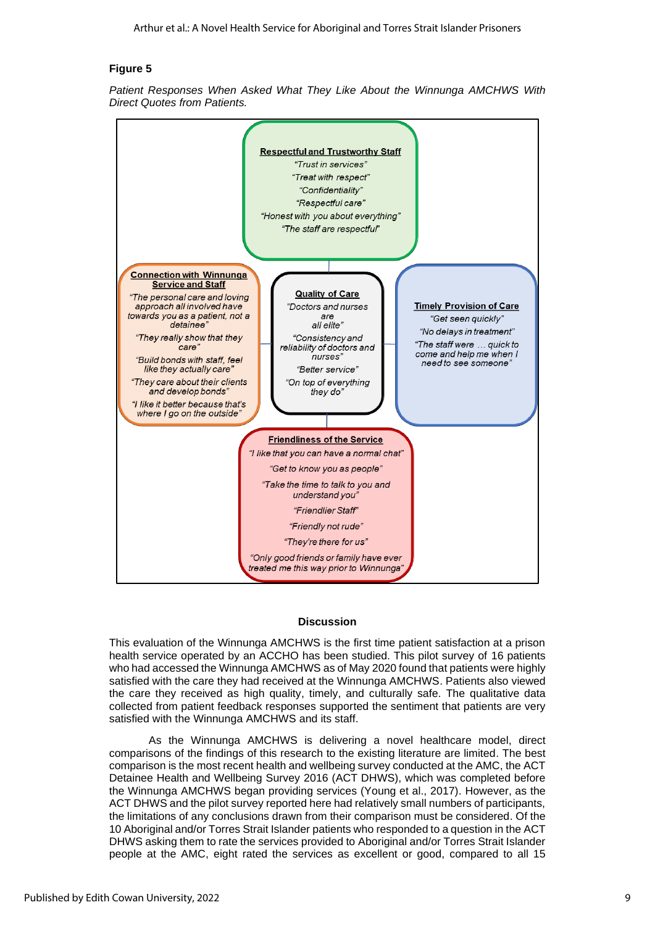#### **Figure 5**

*Patient Responses When Asked What They Like About the Winnunga AMCHWS With Direct Quotes from Patients.*



#### **Discussion**

This evaluation of the Winnunga AMCHWS is the first time patient satisfaction at a prison health service operated by an ACCHO has been studied. This pilot survey of 16 patients who had accessed the Winnunga AMCHWS as of May 2020 found that patients were highly satisfied with the care they had received at the Winnunga AMCHWS. Patients also viewed the care they received as high quality, timely, and culturally safe. The qualitative data collected from patient feedback responses supported the sentiment that patients are very satisfied with the Winnunga AMCHWS and its staff.

As the Winnunga AMCHWS is delivering a novel healthcare model, direct comparisons of the findings of this research to the existing literature are limited. The best comparison is the most recent health and wellbeing survey conducted at the AMC, the ACT Detainee Health and Wellbeing Survey 2016 (ACT DHWS), which was completed before the Winnunga AMCHWS began providing services (Young et al., 2017). However, as the ACT DHWS and the pilot survey reported here had relatively small numbers of participants, the limitations of any conclusions drawn from their comparison must be considered. Of the 10 Aboriginal and/or Torres Strait Islander patients who responded to a question in the ACT DHWS asking them to rate the services provided to Aboriginal and/or Torres Strait Islander people at the AMC, eight rated the services as excellent or good, compared to all 15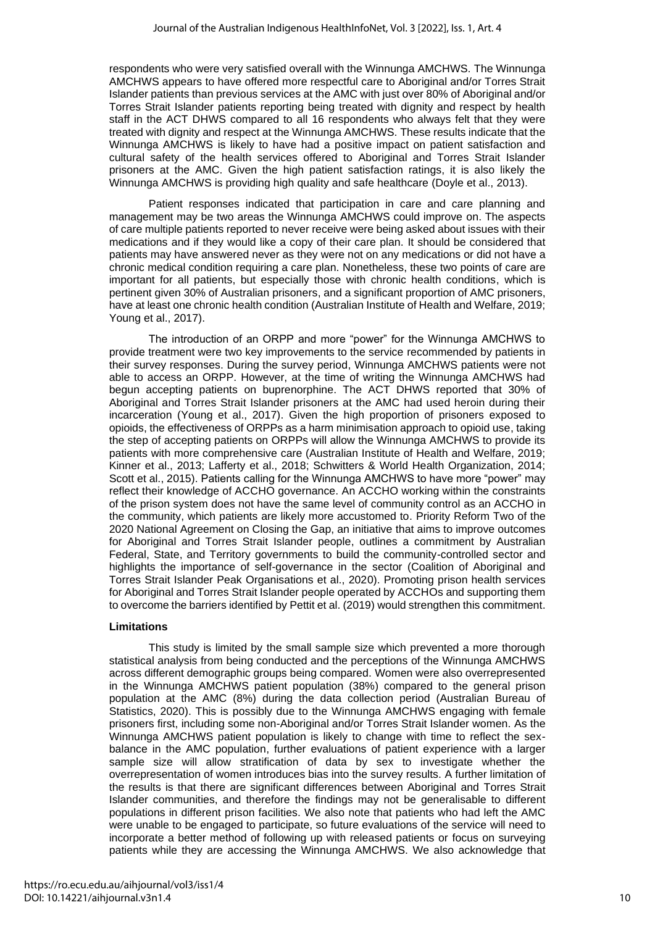respondents who were very satisfied overall with the Winnunga AMCHWS. The Winnunga AMCHWS appears to have offered more respectful care to Aboriginal and/or Torres Strait Islander patients than previous services at the AMC with just over 80% of Aboriginal and/or Torres Strait Islander patients reporting being treated with dignity and respect by health staff in the ACT DHWS compared to all 16 respondents who always felt that they were treated with dignity and respect at the Winnunga AMCHWS. These results indicate that the Winnunga AMCHWS is likely to have had a positive impact on patient satisfaction and cultural safety of the health services offered to Aboriginal and Torres Strait Islander prisoners at the AMC. Given the high patient satisfaction ratings, it is also likely the Winnunga AMCHWS is providing high quality and safe healthcare (Doyle et al., 2013).

Patient responses indicated that participation in care and care planning and management may be two areas the Winnunga AMCHWS could improve on. The aspects of care multiple patients reported to never receive were being asked about issues with their medications and if they would like a copy of their care plan. It should be considered that patients may have answered never as they were not on any medications or did not have a chronic medical condition requiring a care plan. Nonetheless, these two points of care are important for all patients, but especially those with chronic health conditions, which is pertinent given 30% of Australian prisoners, and a significant proportion of AMC prisoners, have at least one chronic health condition (Australian Institute of Health and Welfare, 2019; Young et al., 2017).

The introduction of an ORPP and more "power" for the Winnunga AMCHWS to provide treatment were two key improvements to the service recommended by patients in their survey responses. During the survey period, Winnunga AMCHWS patients were not able to access an ORPP. However, at the time of writing the Winnunga AMCHWS had begun accepting patients on buprenorphine. The ACT DHWS reported that 30% of Aboriginal and Torres Strait Islander prisoners at the AMC had used heroin during their incarceration (Young et al., 2017). Given the high proportion of prisoners exposed to opioids, the effectiveness of ORPPs as a harm minimisation approach to opioid use, taking the step of accepting patients on ORPPs will allow the Winnunga AMCHWS to provide its patients with more comprehensive care (Australian Institute of Health and Welfare, 2019; Kinner et al., 2013; Lafferty et al., 2018; Schwitters & World Health Organization, 2014; Scott et al., 2015). Patients calling for the Winnunga AMCHWS to have more "power" may reflect their knowledge of ACCHO governance. An ACCHO working within the constraints of the prison system does not have the same level of community control as an ACCHO in the community, which patients are likely more accustomed to. Priority Reform Two of the 2020 National Agreement on Closing the Gap, an initiative that aims to improve outcomes for Aboriginal and Torres Strait Islander people, outlines a commitment by Australian Federal, State, and Territory governments to build the community-controlled sector and highlights the importance of self-governance in the sector (Coalition of Aboriginal and Torres Strait Islander Peak Organisations et al., 2020). Promoting prison health services for Aboriginal and Torres Strait Islander people operated by ACCHOs and supporting them to overcome the barriers identified by Pettit et al. (2019) would strengthen this commitment.

#### **Limitations**

This study is limited by the small sample size which prevented a more thorough statistical analysis from being conducted and the perceptions of the Winnunga AMCHWS across different demographic groups being compared. Women were also overrepresented in the Winnunga AMCHWS patient population (38%) compared to the general prison population at the AMC (8%) during the data collection period (Australian Bureau of Statistics, 2020). This is possibly due to the Winnunga AMCHWS engaging with female prisoners first, including some non-Aboriginal and/or Torres Strait Islander women. As the Winnunga AMCHWS patient population is likely to change with time to reflect the sexbalance in the AMC population, further evaluations of patient experience with a larger sample size will allow stratification of data by sex to investigate whether the overrepresentation of women introduces bias into the survey results. A further limitation of the results is that there are significant differences between Aboriginal and Torres Strait Islander communities, and therefore the findings may not be generalisable to different populations in different prison facilities. We also note that patients who had left the AMC were unable to be engaged to participate, so future evaluations of the service will need to incorporate a better method of following up with released patients or focus on surveying patients while they are accessing the Winnunga AMCHWS. We also acknowledge that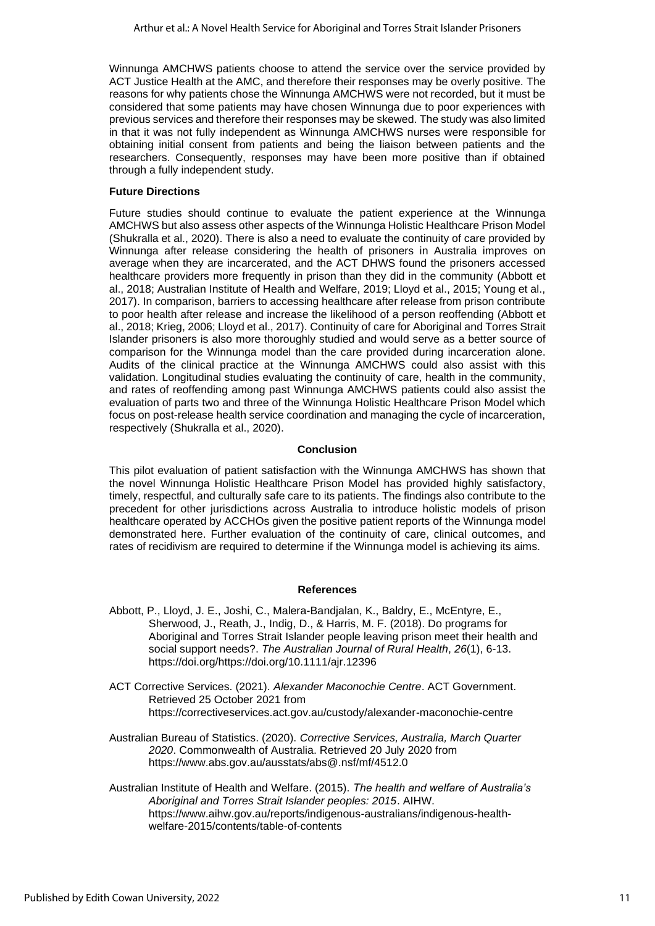Winnunga AMCHWS patients choose to attend the service over the service provided by ACT Justice Health at the AMC, and therefore their responses may be overly positive. The reasons for why patients chose the Winnunga AMCHWS were not recorded, but it must be considered that some patients may have chosen Winnunga due to poor experiences with previous services and therefore their responses may be skewed. The study was also limited in that it was not fully independent as Winnunga AMCHWS nurses were responsible for obtaining initial consent from patients and being the liaison between patients and the researchers. Consequently, responses may have been more positive than if obtained through a fully independent study.

#### **Future Directions**

Future studies should continue to evaluate the patient experience at the Winnunga AMCHWS but also assess other aspects of the Winnunga Holistic Healthcare Prison Model (Shukralla et al., 2020). There is also a need to evaluate the continuity of care provided by Winnunga after release considering the health of prisoners in Australia improves on average when they are incarcerated, and the ACT DHWS found the prisoners accessed healthcare providers more frequently in prison than they did in the community (Abbott et al., 2018; Australian Institute of Health and Welfare, 2019; Lloyd et al., 2015; Young et al., 2017). In comparison, barriers to accessing healthcare after release from prison contribute to poor health after release and increase the likelihood of a person reoffending (Abbott et al., 2018; Krieg, 2006; Lloyd et al., 2017). Continuity of care for Aboriginal and Torres Strait Islander prisoners is also more thoroughly studied and would serve as a better source of comparison for the Winnunga model than the care provided during incarceration alone. Audits of the clinical practice at the Winnunga AMCHWS could also assist with this validation. Longitudinal studies evaluating the continuity of care, health in the community, and rates of reoffending among past Winnunga AMCHWS patients could also assist the evaluation of parts two and three of the Winnunga Holistic Healthcare Prison Model which focus on post-release health service coordination and managing the cycle of incarceration, respectively (Shukralla et al., 2020).

#### **Conclusion**

This pilot evaluation of patient satisfaction with the Winnunga AMCHWS has shown that the novel Winnunga Holistic Healthcare Prison Model has provided highly satisfactory, timely, respectful, and culturally safe care to its patients. The findings also contribute to the precedent for other jurisdictions across Australia to introduce holistic models of prison healthcare operated by ACCHOs given the positive patient reports of the Winnunga model demonstrated here. Further evaluation of the continuity of care, clinical outcomes, and rates of recidivism are required to determine if the Winnunga model is achieving its aims.

#### **References**

- Abbott, P., Lloyd, J. E., Joshi, C., Malera-Bandjalan, K., Baldry, E., McEntyre, E., Sherwood, J., Reath, J., Indig, D., & Harris, M. F. (2018). Do programs for Aboriginal and Torres Strait Islander people leaving prison meet their health and social support needs?. *The Australian Journal of Rural Health*, *26*(1), 6-13. [https://doi.org/https://doi.org/10.1111/ajr.12396](https://doi.org/https:/doi.org/10.1111/ajr.12396)
- ACT Corrective Services. (2021). *Alexander Maconochie Centre*. ACT Government. Retrieved 25 October 2021 from <https://correctiveservices.act.gov.au/custody/alexander-maconochie-centre>
- Australian Bureau of Statistics. (2020). *Corrective Services, Australia, March Quarter 2020*. Commonwealth of Australia. Retrieved 20 July 2020 from <https://www.abs.gov.au/ausstats/abs@.nsf/mf/4512.0>
- Australian Institute of Health and Welfare. (2015). *The health and welfare of Australia's Aboriginal and Torres Strait Islander peoples: 2015*. AIHW. [https://www.aihw.gov.au/reports/indigenous-australians/indigenous-health](https://www.aihw.gov.au/reports/indigenous-australians/indigenous-health-welfare-2015/contents/table-of-contents)[welfare-2015/contents/table-of-contents](https://www.aihw.gov.au/reports/indigenous-australians/indigenous-health-welfare-2015/contents/table-of-contents)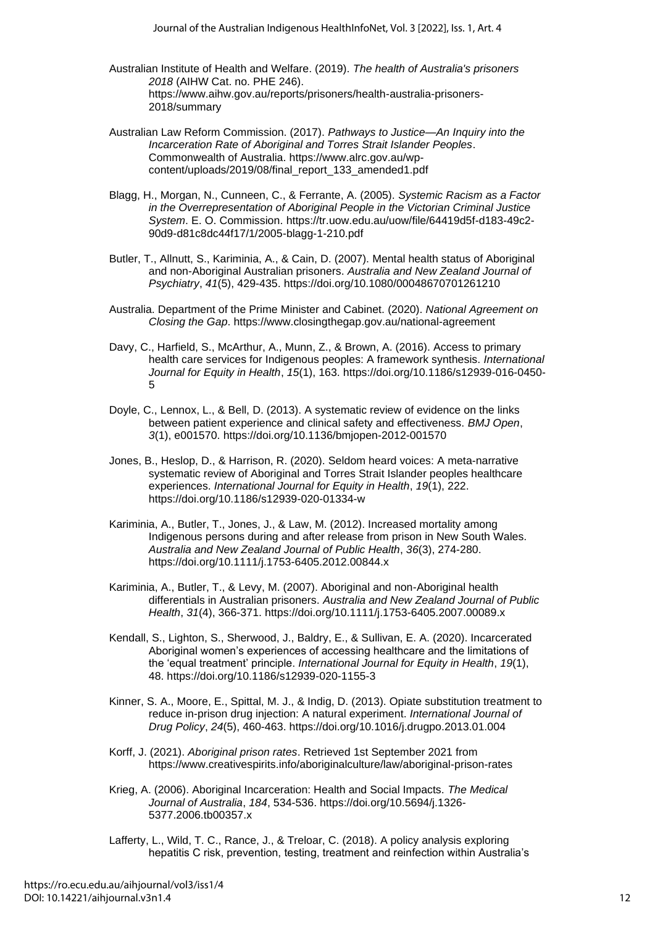- Australian Institute of Health and Welfare. (2019). *The health of Australia's prisoners 2018* (AIHW Cat. no. PHE 246). https://www.aihw.gov.au/reports/prisoners/health-australia-prisoners-2018/summary
- Australian Law Reform Commission. (2017). *Pathways to Justice—An Inquiry into the Incarceration Rate of Aboriginal and Torres Strait Islander Peoples*. Commonwealth of Australia. https://www.alrc.gov.au/wpcontent/uploads/2019/08/final\_report\_133\_amended1.pdf
- Blagg, H., Morgan, N., Cunneen, C., & Ferrante, A. (2005). *Systemic Racism as a Factor in the Overrepresentation of Aboriginal People in the Victorian Criminal Justice System*. E. O. Commission. [https://tr.uow.edu.au/uow/file/64419d5f-d183-49c2-](https://tr.uow.edu.au/uow/file/64419d5f-d183-49c2-90d9-d81c8dc44f17/1/2005-blagg-1-210.pdf) [90d9-d81c8dc44f17/1/2005-blagg-1-210.pdf](https://tr.uow.edu.au/uow/file/64419d5f-d183-49c2-90d9-d81c8dc44f17/1/2005-blagg-1-210.pdf)
- Butler, T., Allnutt, S., Kariminia, A., & Cain, D. (2007). Mental health status of Aboriginal and non-Aboriginal Australian prisoners. *Australia and New Zealand Journal of Psychiatry*, *41*(5), 429-435.<https://doi.org/10.1080/00048670701261210>
- Australia. Department of the Prime Minister and Cabinet. (2020). *National Agreement on Closing the Gap*. <https://www.closingthegap.gov.au/national-agreement>
- Davy, C., Harfield, S., McArthur, A., Munn, Z., & Brown, A. (2016). Access to primary health care services for Indigenous peoples: A framework synthesis. *International Journal for Equity in Health*, *15*(1), 163. [https://doi.org/10.1186/s12939-016-0450-](https://doi.org/10.1186/s12939-016-0450-5) [5](https://doi.org/10.1186/s12939-016-0450-5)
- Doyle, C., Lennox, L., & Bell, D. (2013). A systematic review of evidence on the links between patient experience and clinical safety and effectiveness. *BMJ Open*, *3*(1), e001570.<https://doi.org/10.1136/bmjopen-2012-001570>
- Jones, B., Heslop, D., & Harrison, R. (2020). Seldom heard voices: A meta-narrative systematic review of Aboriginal and Torres Strait Islander peoples healthcare experiences. *International Journal for Equity in Health*, *19*(1), 222. <https://doi.org/10.1186/s12939-020-01334-w>
- Kariminia, A., Butler, T., Jones, J., & Law, M. (2012). Increased mortality among Indigenous persons during and after release from prison in New South Wales. *Australia and New Zealand Journal of Public Health*, *36*(3), 274-280. <https://doi.org/10.1111/j.1753-6405.2012.00844.x>
- Kariminia, A., Butler, T., & Levy, M. (2007). Aboriginal and non-Aboriginal health differentials in Australian prisoners. *Australia and New Zealand Journal of Public Health*, *31*(4), 366-371.<https://doi.org/10.1111/j.1753-6405.2007.00089.x>
- Kendall, S., Lighton, S., Sherwood, J., Baldry, E., & Sullivan, E. A. (2020). Incarcerated Aboriginal women's experiences of accessing healthcare and the limitations of the 'equal treatment' principle. *International Journal for Equity in Health*, *19*(1), 48.<https://doi.org/10.1186/s12939-020-1155-3>
- Kinner, S. A., Moore, E., Spittal, M. J., & Indig, D. (2013). Opiate substitution treatment to reduce in-prison drug injection: A natural experiment. *International Journal of Drug Policy*, *24*(5), 460-463.<https://doi.org/10.1016/j.drugpo.2013.01.004>
- Korff, J. (2021). *Aboriginal prison rates*. Retrieved 1st September 2021 from <https://www.creativespirits.info/aboriginalculture/law/aboriginal-prison-rates>
- Krieg, A. (2006). Aboriginal Incarceration: Health and Social Impacts. *The Medical Journal of Australia*, *184*, 534-536. [https://doi.org/10.5694/j.1326-](https://doi.org/10.5694/j.1326-5377.2006.tb00357.x) [5377.2006.tb00357.x](https://doi.org/10.5694/j.1326-5377.2006.tb00357.x)
- Lafferty, L., Wild, T. C., Rance, J., & Treloar, C. (2018). A policy analysis exploring hepatitis C risk, prevention, testing, treatment and reinfection within Australia's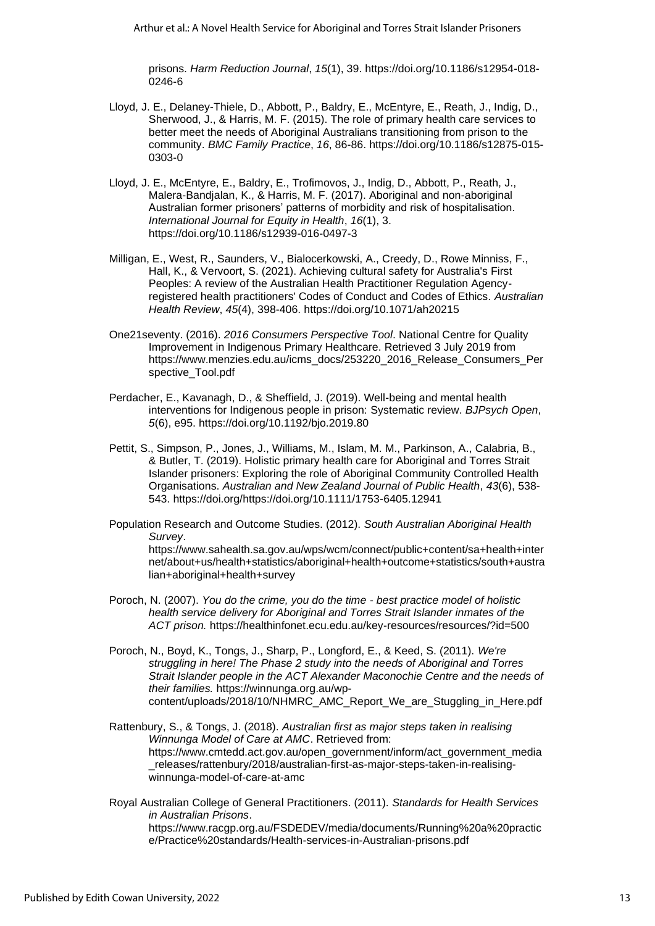prisons. *Harm Reduction Journal*, *15*(1), 39. [https://doi.org/10.1186/s12954-018-](https://doi.org/10.1186/s12954-018-0246-6) [0246-6](https://doi.org/10.1186/s12954-018-0246-6)

- Lloyd, J. E., Delaney-Thiele, D., Abbott, P., Baldry, E., McEntyre, E., Reath, J., Indig, D., Sherwood, J., & Harris, M. F. (2015). The role of primary health care services to better meet the needs of Aboriginal Australians transitioning from prison to the community. *BMC Family Practice*, *16*, 86-86. [https://doi.org/10.1186/s12875-015-](https://doi.org/10.1186/s12875-015-0303-0) [0303-0](https://doi.org/10.1186/s12875-015-0303-0)
- Lloyd, J. E., McEntyre, E., Baldry, E., Trofimovos, J., Indig, D., Abbott, P., Reath, J., Malera-Bandjalan, K., & Harris, M. F. (2017). Aboriginal and non-aboriginal Australian former prisoners' patterns of morbidity and risk of hospitalisation. *International Journal for Equity in Health*, *16*(1), 3. <https://doi.org/10.1186/s12939-016-0497-3>
- Milligan, E., West, R., Saunders, V., Bialocerkowski, A., Creedy, D., Rowe Minniss, F., Hall, K., & Vervoort, S. (2021). Achieving cultural safety for Australia's First Peoples: A review of the Australian Health Practitioner Regulation Agencyregistered health practitioners' Codes of Conduct and Codes of Ethics. *Australian Health Review*, *45*(4), 398-406.<https://doi.org/10.1071/ah20215>
- One21seventy. (2016). *2016 Consumers Perspective Tool*. National Centre for Quality Improvement in Indigenous Primary Healthcare. Retrieved 3 July 2019 from [https://www.menzies.edu.au/icms\\_docs/253220\\_2016\\_Release\\_Consumers\\_Per](https://www.menzies.edu.au/icms_docs/253220_2016_Release_Consumers_Perspective_Tool.pdf) [spective\\_Tool.pdf](https://www.menzies.edu.au/icms_docs/253220_2016_Release_Consumers_Perspective_Tool.pdf)
- Perdacher, E., Kavanagh, D., & Sheffield, J. (2019). Well-being and mental health interventions for Indigenous people in prison: Systematic review. *BJPsych Open*, *5*(6), e95.<https://doi.org/10.1192/bjo.2019.80>
- Pettit, S., Simpson, P., Jones, J., Williams, M., Islam, M. M., Parkinson, A., Calabria, B., & Butler, T. (2019). Holistic primary health care for Aboriginal and Torres Strait Islander prisoners: Exploring the role of Aboriginal Community Controlled Health Organisations. *Australian and New Zealand Journal of Public Health*, *43*(6), 538- 543. [https://doi.org/https://doi.org/10.1111/1753-6405.12941](https://doi.org/https:/doi.org/10.1111/1753-6405.12941)
- Population Research and Outcome Studies. (2012). *South Australian Aboriginal Health Survey*.

[https://www.sahealth.sa.gov.au/wps/wcm/connect/public+content/sa+health+inter](https://www.sahealth.sa.gov.au/wps/wcm/connect/public+content/sa+health+internet/about+us/health+statistics/aboriginal+health+outcome+statistics/south+australian+aboriginal+health+survey) [net/about+us/health+statistics/aboriginal+health+outcome+statistics/south+austra](https://www.sahealth.sa.gov.au/wps/wcm/connect/public+content/sa+health+internet/about+us/health+statistics/aboriginal+health+outcome+statistics/south+australian+aboriginal+health+survey) [lian+aboriginal+health+survey](https://www.sahealth.sa.gov.au/wps/wcm/connect/public+content/sa+health+internet/about+us/health+statistics/aboriginal+health+outcome+statistics/south+australian+aboriginal+health+survey)

- Poroch, N. (2007). *You do the crime, you do the time - best practice model of holistic health service delivery for Aboriginal and Torres Strait Islander inmates of the ACT prison.* https://healthinfonet.ecu.edu.au/key-resources/resources/?id=500
- Poroch, N., Boyd, K., Tongs, J., Sharp, P., Longford, E., & Keed, S. (2011). *We're struggling in here! The Phase 2 study into the needs of Aboriginal and Torres Strait Islander people in the ACT Alexander Maconochie Centre and the needs of their families.* [https://winnunga.org.au/wp](https://winnunga.org.au/wp-content/uploads/2018/10/NHMRC_AMC_Report_We_are_Stuggling_in_Here.pdf)[content/uploads/2018/10/NHMRC\\_AMC\\_Report\\_We\\_are\\_Stuggling\\_in\\_Here.pdf](https://winnunga.org.au/wp-content/uploads/2018/10/NHMRC_AMC_Report_We_are_Stuggling_in_Here.pdf)
- Rattenbury, S., & Tongs, J. (2018). *Australian first as major steps taken in realising Winnunga Model of Care at AMC*. Retrieved from: https://www.cmtedd.act.gov.au/open\_government/inform/act\_government\_media \_releases/rattenbury/2018/australian-first-as-major-steps-taken-in-realisingwinnunga-model-of-care-at-amc
- Royal Australian College of General Practitioners. (2011). *Standards for Health Services in Australian Prisons*. https://www.racgp.org.au/FSDEDEV/media/documents/Running%20a%20practic e/Practice%20standards/Health-services-in-Australian-prisons.pdf